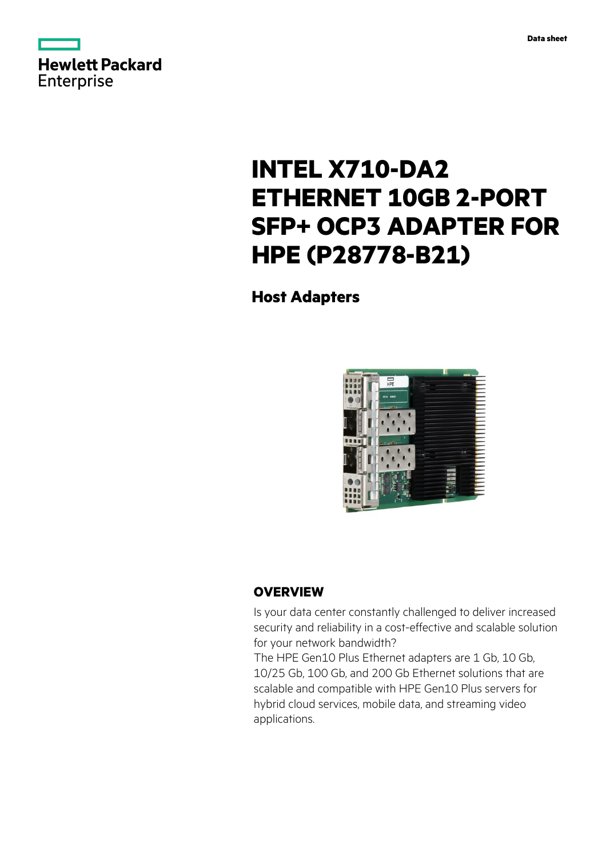



# **INTEL X710-DA2 ETHERNET 10GB 2-PORT SFP+ OCP3 ADAPTER FOR HPE (P28778-B21)**

**Host Adapters**



# **OVERVIEW**

Is your data center constantly challenged to deliver increased security and reliability in a cost-effective and scalable solution for your network bandwidth?

The HPE Gen10 Plus Ethernet adapters are 1 Gb, 10 Gb, 10/25 Gb, 100 Gb, and 200 Gb Ethernet solutions that are scalable and compatible with HPE Gen10 Plus servers for hybrid cloud services, mobile data, and streaming video applications.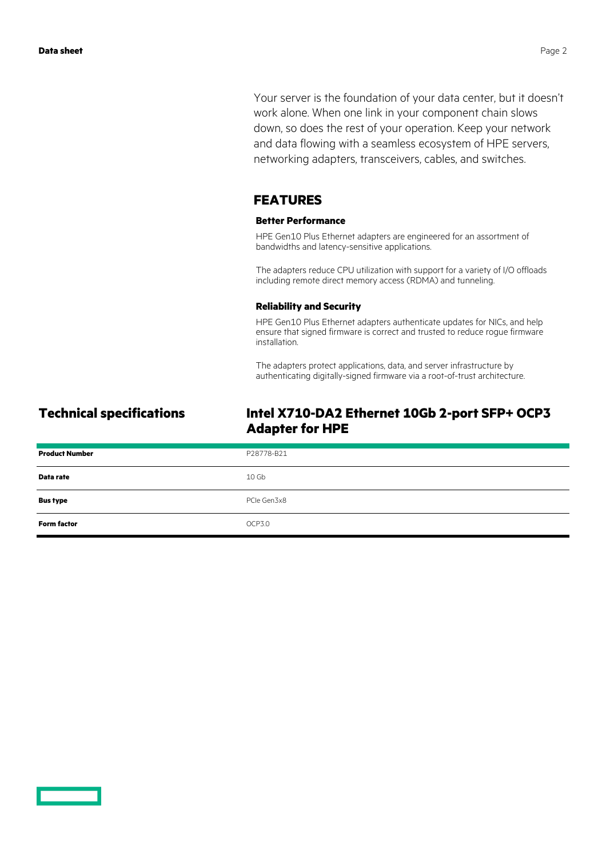Your server is the foundation of your data center, but it doesn't work alone. When one link in your component chain slows down, so does the rest of your operation. Keep your network and data flowing with a seamless ecosystem of HPE servers, networking adapters, transceivers, cables, and switches.

### **FEATURES**

#### **Better Performance**

HPE Gen10 Plus Ethernet adapters are engineered for an assortment of bandwidths and latency-sensitive applications.

The adapters reduce CPU utilization with support for a variety of I/O offloads including remote direct memory access (RDMA) and tunneling.

#### **Reliability and Security**

HPE Gen10 Plus Ethernet adapters authenticate updates for NICs, and help ensure that signed firmware is correct and trusted to reduce rogue firmware installation.

The adapters protect applications, data, and server infrastructure by authenticating digitally-signed firmware via a root-of-trust architecture.

# **Technical specifications Intel X710-DA2 Ethernet 10Gb 2-port SFP+ OCP3 Adapter for HPE**

| <b>Product Number</b> | P28778-B21  |
|-----------------------|-------------|
| Data rate             | 10 Gb       |
| <b>Bus type</b>       | PCIe Gen3x8 |
| <b>Form factor</b>    | OCP3.0      |